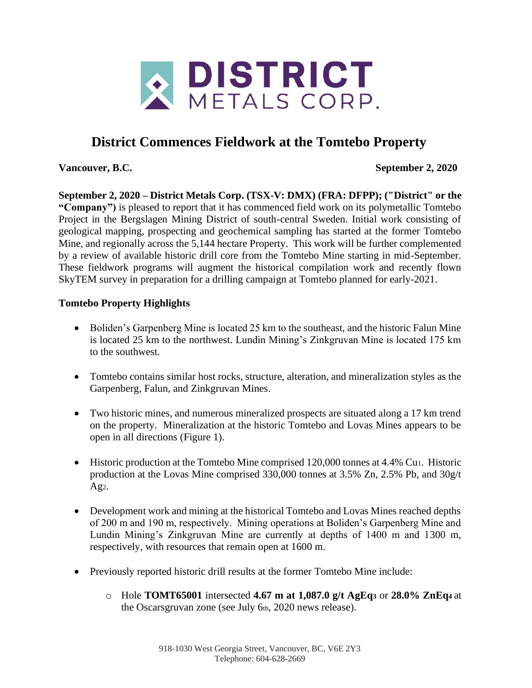

# **District Commences Fieldwork at the Tomtebo Property**

**Vancouver, B.C. September 2, 2020**

**September 2, 2020 – District Metals Corp. (TSX-V: DMX) (FRA: DFPP); ("District" or the "Company")** is pleased to report that it has commenced field work on its polymetallic Tomtebo Project in the Bergslagen Mining District of south-central Sweden. Initial work consisting of geological mapping, prospecting and geochemical sampling has started at the former Tomtebo Mine, and regionally across the 5,144 hectare Property. This work will be further complemented by a review of available historic drill core from the Tomtebo Mine starting in mid-September. These fieldwork programs will augment the historical compilation work and recently flown SkyTEM survey in preparation for a drilling campaign at Tomtebo planned for early-2021.

## **Tomtebo Property Highlights**

- Boliden's Garpenberg Mine is located 25 km to the southeast, and the historic Falun Mine is located 25 km to the northwest. Lundin Mining's Zinkgruvan Mine is located 175 km to the southwest.
- Tomtebo contains similar host rocks, structure, alteration, and mineralization styles as the Garpenberg, Falun, and Zinkgruvan Mines.
- Two historic mines, and numerous mineralized prospects are situated along a 17 km trend on the property. Mineralization at the historic Tomtebo and Lovas Mines appears to be open in all directions (Figure 1).
- Historic production at the Tomtebo Mine comprised 120,000 tonnes at 4.4% Cu<sub>1</sub>. Historic production at the Lovas Mine comprised 330,000 tonnes at 3.5% Zn, 2.5% Pb, and 30g/t Ag2.
- Development work and mining at the historical Tomtebo and Lovas Mines reached depths of 200 m and 190 m, respectively. Mining operations at Boliden's Garpenberg Mine and Lundin Mining's Zinkgruvan Mine are currently at depths of 1400 m and 1300 m, respectively, with resources that remain open at 1600 m.
- Previously reported historic drill results at the former Tomtebo Mine include:
	- o Hole **TOMT65001** intersected **4.67 m at 1,087.0 g/t AgEq<sup>3</sup>** or **28.0% ZnEq<sup>4</sup>** at the Oscarsgruvan zone (see July 6th, 2020 news release).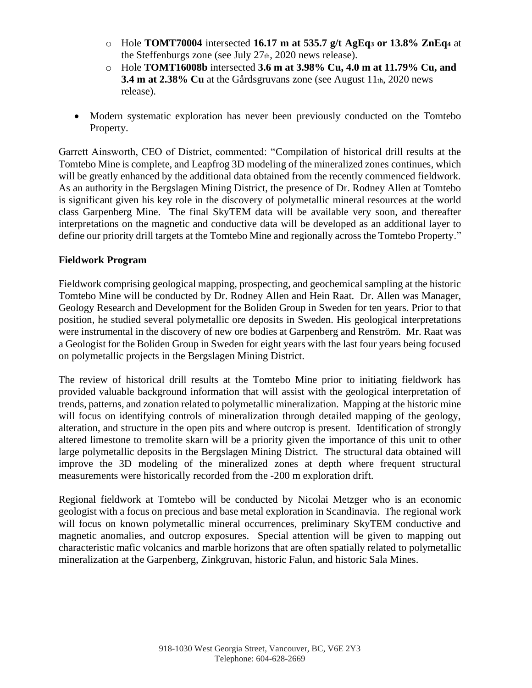- o Hole **TOMT70004** intersected **16.17 m at 535.7 g/t AgEq<sup>3</sup> or 13.8% ZnEq<sup>4</sup>** at the Steffenburgs zone (see July 27<sup>th</sup>, 2020 news release).
- o Hole **TOMT16008b** intersected **3.6 m at 3.98% Cu, 4.0 m at 11.79% Cu, and 3.4 m at 2.38% Cu** at the Gårdsgruvans zone (see August 11th, 2020 news release).
- Modern systematic exploration has never been previously conducted on the Tomtebo Property.

Garrett Ainsworth, CEO of District, commented: "Compilation of historical drill results at the Tomtebo Mine is complete, and Leapfrog 3D modeling of the mineralized zones continues, which will be greatly enhanced by the additional data obtained from the recently commenced fieldwork. As an authority in the Bergslagen Mining District, the presence of Dr. Rodney Allen at Tomtebo is significant given his key role in the discovery of polymetallic mineral resources at the world class Garpenberg Mine. The final SkyTEM data will be available very soon, and thereafter interpretations on the magnetic and conductive data will be developed as an additional layer to define our priority drill targets at the Tomtebo Mine and regionally across the Tomtebo Property."

#### **Fieldwork Program**

Fieldwork comprising geological mapping, prospecting, and geochemical sampling at the historic Tomtebo Mine will be conducted by Dr. Rodney Allen and Hein Raat. Dr. Allen was Manager, Geology Research and Development for the Boliden Group in Sweden for ten years. Prior to that position, he studied several polymetallic ore deposits in Sweden. His geological interpretations were instrumental in the discovery of new ore bodies at Garpenberg and Renström. Mr. Raat was a Geologist for the Boliden Group in Sweden for eight years with the last four years being focused on polymetallic projects in the Bergslagen Mining District.

The review of historical drill results at the Tomtebo Mine prior to initiating fieldwork has provided valuable background information that will assist with the geological interpretation of trends, patterns, and zonation related to polymetallic mineralization. Mapping at the historic mine will focus on identifying controls of mineralization through detailed mapping of the geology, alteration, and structure in the open pits and where outcrop is present. Identification of strongly altered limestone to tremolite skarn will be a priority given the importance of this unit to other large polymetallic deposits in the Bergslagen Mining District. The structural data obtained will improve the 3D modeling of the mineralized zones at depth where frequent structural measurements were historically recorded from the -200 m exploration drift.

Regional fieldwork at Tomtebo will be conducted by Nicolai Metzger who is an economic geologist with a focus on precious and base metal exploration in Scandinavia. The regional work will focus on known polymetallic mineral occurrences, preliminary SkyTEM conductive and magnetic anomalies, and outcrop exposures. Special attention will be given to mapping out characteristic mafic volcanics and marble horizons that are often spatially related to polymetallic mineralization at the Garpenberg, Zinkgruvan, historic Falun, and historic Sala Mines.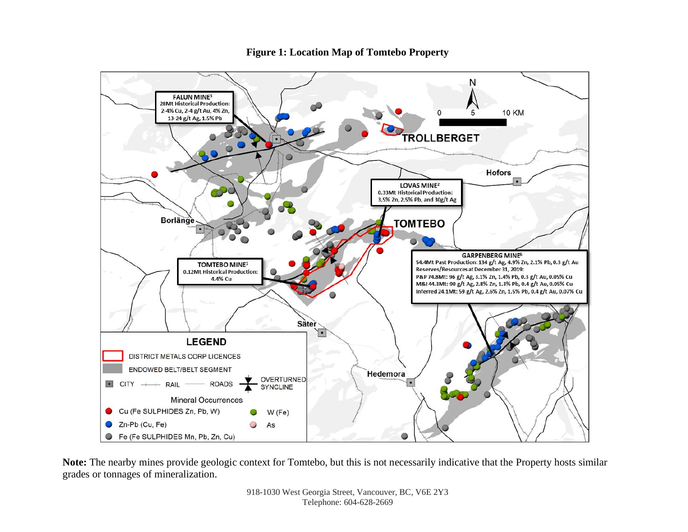

**Figure 1: Location Map of Tomtebo Property**

**Note:** The nearby mines provide geologic context for Tomtebo, but this is not necessarily indicative that the Property hosts similar grades or tonnages of mineralization.

> 918-1030 West Georgia Street, Vancouver, BC, V6E 2Y3 Telephone: 604-628-2669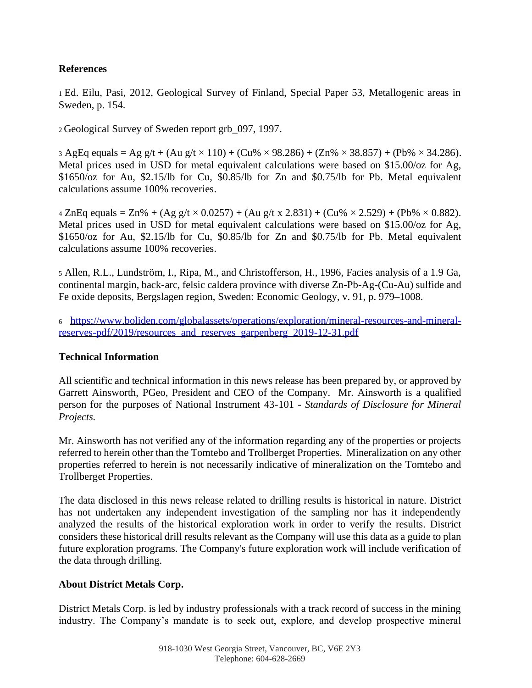## **References**

<sup>1</sup>Ed. Eilu, Pasi, 2012, Geological Survey of Finland, Special Paper 53, Metallogenic areas in Sweden, p. 154.

<sup>2</sup>Geological Survey of Sweden report grb\_097, 1997.

3 AgEq equals = Ag g/t + (Au g/t  $\times$  110) + (Cu%  $\times$  98.286) + (Zn%  $\times$  38.857) + (Pb%  $\times$  34.286). Metal prices used in USD for metal equivalent calculations were based on \$15.00/oz for Ag, \$1650/oz for Au, \$2.15/lb for Cu, \$0.85/lb for Zn and \$0.75/lb for Pb. Metal equivalent calculations assume 100% recoveries.

 $4 \text{ ZnEq equals} = \text{Zn\%} + (\text{Ag g/t} \times 0.0257) + (\text{Au g/t x } 2.831) + (\text{Cu\%} \times 2.529) + (\text{Pb\%} \times 0.882).$ Metal prices used in USD for metal equivalent calculations were based on \$15.00/oz for Ag, \$1650/oz for Au, \$2.15/lb for Cu, \$0.85/lb for Zn and \$0.75/lb for Pb. Metal equivalent calculations assume 100% recoveries.

<sup>5</sup> Allen, R.L., Lundström, I., Ripa, M., and Christofferson, H., 1996, Facies analysis of a 1.9 Ga, continental margin, back-arc, felsic caldera province with diverse Zn-Pb-Ag-(Cu-Au) sulfide and Fe oxide deposits, Bergslagen region, Sweden: Economic Geology, v. 91, p. 979–1008.

<sup>6</sup> [https://www.boliden.com/globalassets/operations/exploration/mineral-resources-and-mineral](https://www.boliden.com/globalassets/operations/exploration/mineral-resources-and-mineral-reserves-pdf/2019/resources_and_reserves_garpenberg_2019-12-31.pdf)[reserves-pdf/2019/resources\\_and\\_reserves\\_garpenberg\\_2019-12-31.pdf](https://www.boliden.com/globalassets/operations/exploration/mineral-resources-and-mineral-reserves-pdf/2019/resources_and_reserves_garpenberg_2019-12-31.pdf)

## **Technical Information**

All scientific and technical information in this news release has been prepared by, or approved by Garrett Ainsworth, PGeo, President and CEO of the Company. Mr. Ainsworth is a qualified person for the purposes of National Instrument 43-101 - *Standards of Disclosure for Mineral Projects.*

Mr. Ainsworth has not verified any of the information regarding any of the properties or projects referred to herein other than the Tomtebo and Trollberget Properties. Mineralization on any other properties referred to herein is not necessarily indicative of mineralization on the Tomtebo and Trollberget Properties.

The data disclosed in this news release related to drilling results is historical in nature. District has not undertaken any independent investigation of the sampling nor has it independently analyzed the results of the historical exploration work in order to verify the results. District considers these historical drill results relevant as the Company will use this data as a guide to plan future exploration programs. The Company's future exploration work will include verification of the data through drilling.

## **About District Metals Corp.**

District Metals Corp. is led by industry professionals with a track record of success in the mining industry. The Company's mandate is to seek out, explore, and develop prospective mineral